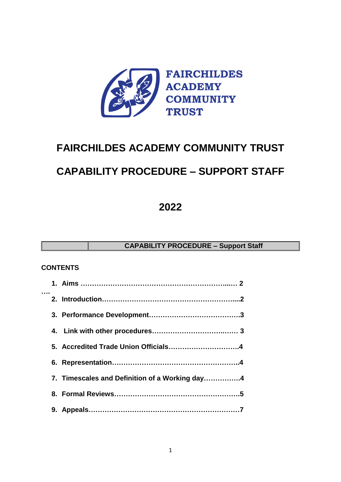

# **FAIRCHILDES ACADEMY COMMUNITY TRUST**

# **CAPABILITY PROCEDURE – SUPPORT STAFF**

**2022**

**CAPABILITY PROCEDURE – Support Staff**

### **CONTENTS**

|  | 7. Timescales and Definition of a Working day4 |
|--|------------------------------------------------|
|  |                                                |
|  |                                                |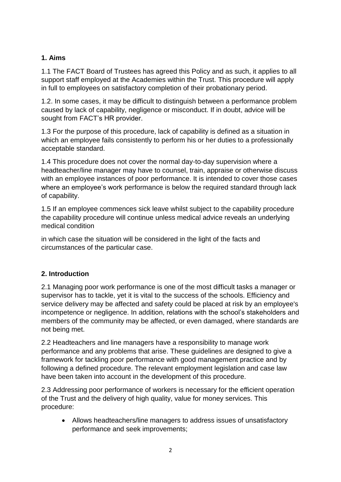# **1. Aims**

1.1 The FACT Board of Trustees has agreed this Policy and as such, it applies to all support staff employed at the Academies within the Trust. This procedure will apply in full to employees on satisfactory completion of their probationary period.

1.2. In some cases, it may be difficult to distinguish between a performance problem caused by lack of capability, negligence or misconduct. If in doubt, advice will be sought from FACT's HR provider.

1.3 For the purpose of this procedure, lack of capability is defined as a situation in which an employee fails consistently to perform his or her duties to a professionally acceptable standard.

1.4 This procedure does not cover the normal day-to-day supervision where a headteacher/line manager may have to counsel, train, appraise or otherwise discuss with an employee instances of poor performance. It is intended to cover those cases where an employee's work performance is below the required standard through lack of capability.

1.5 If an employee commences sick leave whilst subject to the capability procedure the capability procedure will continue unless medical advice reveals an underlying medical condition

in which case the situation will be considered in the light of the facts and circumstances of the particular case.

### **2. Introduction**

2.1 Managing poor work performance is one of the most difficult tasks a manager or supervisor has to tackle, yet it is vital to the success of the schools. Efficiency and service delivery may be affected and safety could be placed at risk by an employee's incompetence or negligence. In addition, relations with the school's stakeholders and members of the community may be affected, or even damaged, where standards are not being met.

2.2 Headteachers and line managers have a responsibility to manage work performance and any problems that arise. These guidelines are designed to give a framework for tackling poor performance with good management practice and by following a defined procedure. The relevant employment legislation and case law have been taken into account in the development of this procedure.

2.3 Addressing poor performance of workers is necessary for the efficient operation of the Trust and the delivery of high quality, value for money services. This procedure:

 Allows headteachers/line managers to address issues of unsatisfactory performance and seek improvements;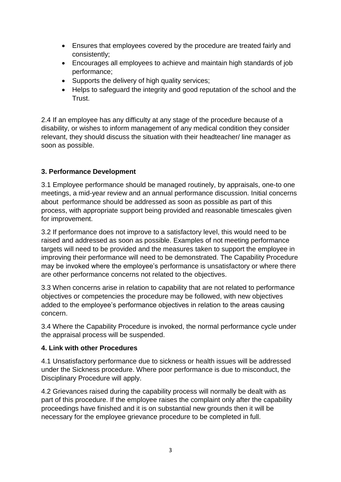- Ensures that employees covered by the procedure are treated fairly and consistently;
- Encourages all employees to achieve and maintain high standards of job performance;
- Supports the delivery of high quality services;
- Helps to safeguard the integrity and good reputation of the school and the Trust.

2.4 If an employee has any difficulty at any stage of the procedure because of a disability, or wishes to inform management of any medical condition they consider relevant, they should discuss the situation with their headteacher/ line manager as soon as possible.

# **3. Performance Development**

3.1 Employee performance should be managed routinely, by appraisals, one-to one meetings, a mid-year review and an annual performance discussion. Initial concerns about performance should be addressed as soon as possible as part of this process, with appropriate support being provided and reasonable timescales given for improvement.

3.2 If performance does not improve to a satisfactory level, this would need to be raised and addressed as soon as possible. Examples of not meeting performance targets will need to be provided and the measures taken to support the employee in improving their performance will need to be demonstrated. The Capability Procedure may be invoked where the employee's performance is unsatisfactory or where there are other performance concerns not related to the objectives.

3.3 When concerns arise in relation to capability that are not related to performance objectives or competencies the procedure may be followed, with new objectives added to the employee's performance objectives in relation to the areas causing concern.

3.4 Where the Capability Procedure is invoked, the normal performance cycle under the appraisal process will be suspended.

### **4. Link with other Procedures**

4.1 Unsatisfactory performance due to sickness or health issues will be addressed under the Sickness procedure. Where poor performance is due to misconduct, the Disciplinary Procedure will apply.

4.2 Grievances raised during the capability process will normally be dealt with as part of this procedure. If the employee raises the complaint only after the capability proceedings have finished and it is on substantial new grounds then it will be necessary for the employee grievance procedure to be completed in full.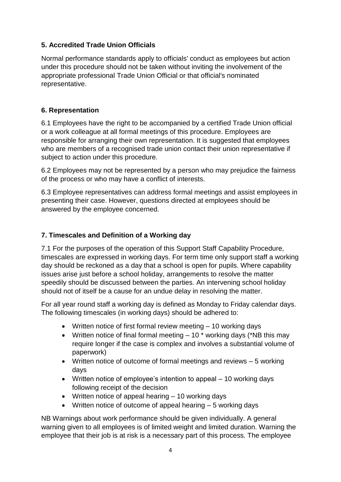# **5. Accredited Trade Union Officials**

Normal performance standards apply to officials' conduct as employees but action under this procedure should not be taken without inviting the involvement of the appropriate professional Trade Union Official or that official's nominated representative.

#### **6. Representation**

6.1 Employees have the right to be accompanied by a certified Trade Union official or a work colleague at all formal meetings of this procedure. Employees are responsible for arranging their own representation. It is suggested that employees who are members of a recognised trade union contact their union representative if subject to action under this procedure.

6.2 Employees may not be represented by a person who may prejudice the fairness of the process or who may have a conflict of interests.

6.3 Employee representatives can address formal meetings and assist employees in presenting their case. However, questions directed at employees should be answered by the employee concerned.

### **7. Timescales and Definition of a Working day**

7.1 For the purposes of the operation of this Support Staff Capability Procedure, timescales are expressed in working days. For term time only support staff a working day should be reckoned as a day that a school is open for pupils. Where capability issues arise just before a school holiday, arrangements to resolve the matter speedily should be discussed between the parties. An intervening school holiday should not of itself be a cause for an undue delay in resolving the matter.

For all year round staff a working day is defined as Monday to Friday calendar days. The following timescales (in working days) should be adhered to:

- Written notice of first formal review meeting 10 working days
- Written notice of final formal meeting  $-10$  \* working days (\*NB this may require longer if the case is complex and involves a substantial volume of paperwork)
- Written notice of outcome of formal meetings and reviews 5 working days
- Written notice of employee's intention to appeal 10 working days following receipt of the decision
- Written notice of appeal hearing 10 working days
- Written notice of outcome of appeal hearing  $-5$  working days

NB Warnings about work performance should be given individually. A general warning given to all employees is of limited weight and limited duration. Warning the employee that their job is at risk is a necessary part of this process. The employee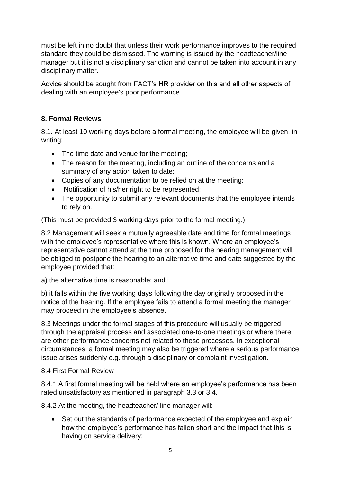must be left in no doubt that unless their work performance improves to the required standard they could be dismissed. The warning is issued by the headteacher/line manager but it is not a disciplinary sanction and cannot be taken into account in any disciplinary matter.

Advice should be sought from FACT's HR provider on this and all other aspects of dealing with an employee's poor performance.

# **8. Formal Reviews**

8.1. At least 10 working days before a formal meeting, the employee will be given, in writing:

- The time date and venue for the meeting;
- The reason for the meeting, including an outline of the concerns and a summary of any action taken to date;
- Copies of any documentation to be relied on at the meeting;
- Notification of his/her right to be represented;
- The opportunity to submit any relevant documents that the employee intends to rely on.

(This must be provided 3 working days prior to the formal meeting.)

8.2 Management will seek a mutually agreeable date and time for formal meetings with the employee's representative where this is known. Where an employee's representative cannot attend at the time proposed for the hearing management will be obliged to postpone the hearing to an alternative time and date suggested by the employee provided that:

a) the alternative time is reasonable; and

b) it falls within the five working days following the day originally proposed in the notice of the hearing. If the employee fails to attend a formal meeting the manager may proceed in the employee's absence.

8.3 Meetings under the formal stages of this procedure will usually be triggered through the appraisal process and associated one-to-one meetings or where there are other performance concerns not related to these processes. In exceptional circumstances, a formal meeting may also be triggered where a serious performance issue arises suddenly e.g. through a disciplinary or complaint investigation.

### 8.4 First Formal Review

8.4.1 A first formal meeting will be held where an employee's performance has been rated unsatisfactory as mentioned in paragraph 3.3 or 3.4.

8.4.2 At the meeting, the headteacher/ line manager will:

 Set out the standards of performance expected of the employee and explain how the employee's performance has fallen short and the impact that this is having on service delivery;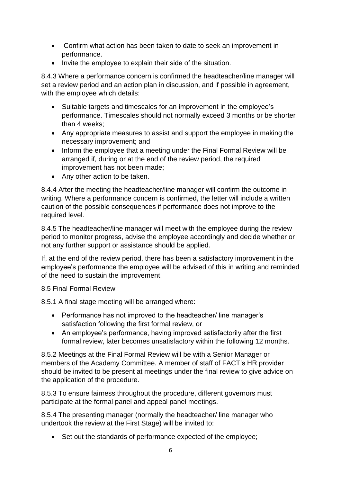- Confirm what action has been taken to date to seek an improvement in performance.
- Invite the employee to explain their side of the situation.

8.4.3 Where a performance concern is confirmed the headteacher/line manager will set a review period and an action plan in discussion, and if possible in agreement, with the employee which details:

- Suitable targets and timescales for an improvement in the employee's performance. Timescales should not normally exceed 3 months or be shorter than 4 weeks;
- Any appropriate measures to assist and support the employee in making the necessary improvement; and
- Inform the employee that a meeting under the Final Formal Review will be arranged if, during or at the end of the review period, the required improvement has not been made;
- Any other action to be taken.

8.4.4 After the meeting the headteacher/line manager will confirm the outcome in writing. Where a performance concern is confirmed, the letter will include a written caution of the possible consequences if performance does not improve to the required level.

8.4.5 The headteacher/line manager will meet with the employee during the review period to monitor progress, advise the employee accordingly and decide whether or not any further support or assistance should be applied.

If, at the end of the review period, there has been a satisfactory improvement in the employee's performance the employee will be advised of this in writing and reminded of the need to sustain the improvement.

### 8.5 Final Formal Review

8.5.1 A final stage meeting will be arranged where:

- Performance has not improved to the headteacher/ line manager's satisfaction following the first formal review, or
- An employee's performance, having improved satisfactorily after the first formal review, later becomes unsatisfactory within the following 12 months.

8.5.2 Meetings at the Final Formal Review will be with a Senior Manager or members of the Academy Committee. A member of staff of FACT's HR provider should be invited to be present at meetings under the final review to give advice on the application of the procedure.

8.5.3 To ensure fairness throughout the procedure, different governors must participate at the formal panel and appeal panel meetings.

8.5.4 The presenting manager (normally the headteacher/ line manager who undertook the review at the First Stage) will be invited to:

• Set out the standards of performance expected of the employee: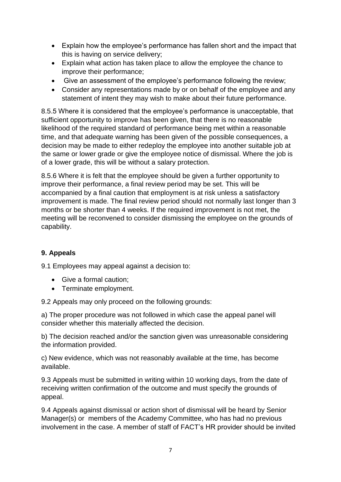- Explain how the employee's performance has fallen short and the impact that this is having on service delivery;
- Explain what action has taken place to allow the employee the chance to improve their performance;
- Give an assessment of the employee's performance following the review;
- Consider any representations made by or on behalf of the employee and any statement of intent they may wish to make about their future performance.

8.5.5 Where it is considered that the employee's performance is unacceptable, that sufficient opportunity to improve has been given, that there is no reasonable likelihood of the required standard of performance being met within a reasonable time, and that adequate warning has been given of the possible consequences, a decision may be made to either redeploy the employee into another suitable job at the same or lower grade or give the employee notice of dismissal. Where the job is of a lower grade, this will be without a salary protection.

8.5.6 Where it is felt that the employee should be given a further opportunity to improve their performance, a final review period may be set. This will be accompanied by a final caution that employment is at risk unless a satisfactory improvement is made. The final review period should not normally last longer than 3 months or be shorter than 4 weeks. If the required improvement is not met, the meeting will be reconvened to consider dismissing the employee on the grounds of capability.

# **9. Appeals**

9.1 Employees may appeal against a decision to:

- Give a formal caution:
- Terminate employment.

9.2 Appeals may only proceed on the following grounds:

a) The proper procedure was not followed in which case the appeal panel will consider whether this materially affected the decision.

b) The decision reached and/or the sanction given was unreasonable considering the information provided.

c) New evidence, which was not reasonably available at the time, has become available.

9.3 Appeals must be submitted in writing within 10 working days, from the date of receiving written confirmation of the outcome and must specify the grounds of appeal.

9.4 Appeals against dismissal or action short of dismissal will be heard by Senior Manager(s) or members of the Academy Committee, who has had no previous involvement in the case. A member of staff of FACT's HR provider should be invited